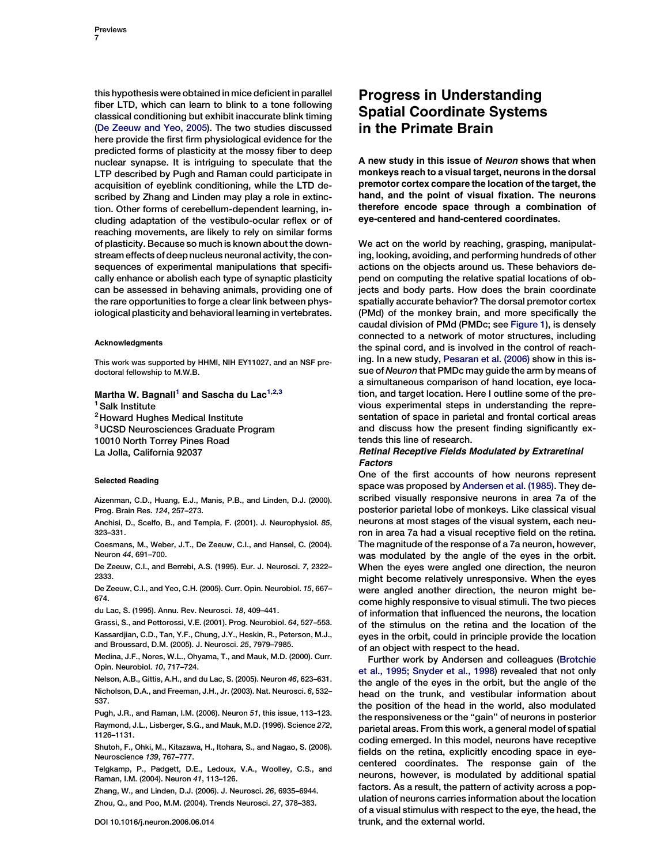this hypothesis were obtained in mice deficient in parallel fiber LTD, which can learn to blink to a tone following classical conditioning but exhibit inaccurate blink timing (De Zeeuw and Yeo, 2005). The two studies discussed here provide the first firm physiological evidence for the predicted forms of plasticity at the mossy fiber to deep nuclear synapse. It is intriguing to speculate that the LTP described by Pugh and Raman could participate in acquisition of eyeblink conditioning, while the LTD described by Zhang and Linden may play a role in extinction. Other forms of cerebellum-dependent learning, including adaptation of the vestibulo-ocular reflex or of reaching movements, are likely to rely on similar forms of plasticity. Because so much is known about the downstream effects of deep nucleus neuronal activity, the consequences of experimental manipulations that specifically enhance or abolish each type of synaptic plasticity can be assessed in behaving animals, providing one of the rare opportunities to forge a clear link between physiological plasticity and behavioral learning in vertebrates.

#### Acknowledgments

This work was supported by HHMI, NIH EY11027, and an NSF predoctoral fellowship to M.W.B.

# Martha W. Bagnall<sup>1</sup> and Sascha du Lac<sup>1,2,3</sup>

<sup>1</sup> Salk Institute

<sup>2</sup> Howard Hughes Medical Institute 3UCSD Neurosciences Graduate Program

10010 North Torrey Pines Road

La Jolla, California 92037

#### Selected Reading

Aizenman, C.D., Huang, E.J., Manis, P.B., and Linden, D.J. (2000). Prog. Brain Res. 124, 257–273.

Anchisi, D., Scelfo, B., and Tempia, F. (2001). J. Neurophysiol. 85, 323–331.

Coesmans, M., Weber, J.T., De Zeeuw, C.I., and Hansel, C. (2004). Neuron 44, 691–700.

De Zeeuw, C.I., and Berrebi, A.S. (1995). Eur. J. Neurosci. 7, 2322– 2333.

De Zeeuw, C.I., and Yeo, C.H. (2005). Curr. Opin. Neurobiol. 15, 667– 674.

du Lac, S. (1995). Annu. Rev. Neurosci. 18, 409–441.

Grassi, S., and Pettorossi, V.E. (2001). Prog. Neurobiol. 64, 527–553. Kassardjian, C.D., Tan, Y.F., Chung, J.Y., Heskin, R., Peterson, M.J., and Broussard, D.M. (2005). J. Neurosci. 25, 7979–7985.

Medina, J.F., Nores, W.L., Ohyama, T., and Mauk, M.D. (2000). Curr. Opin. Neurobiol. 10, 717–724.

Nelson, A.B., Gittis, A.H., and du Lac, S. (2005). Neuron 46, 623–631. Nicholson, D.A., and Freeman, J.H., Jr. (2003). Nat. Neurosci. 6, 532– 537.

Pugh, J.R., and Raman, I.M. (2006). Neuron 51, this issue, 113–123. Raymond, J.L., Lisberger, S.G., and Mauk, M.D. (1996). Science 272, 1126–1131.

Shutoh, F., Ohki, M., Kitazawa, H., Itohara, S., and Nagao, S. (2006). Neuroscience 139, 767–777.

Telgkamp, P., Padgett, D.E., Ledoux, V.A., Woolley, C.S., and Raman, I.M. (2004). Neuron 41, 113–126.

Zhang, W., and Linden, D.J. (2006). J. Neurosci. 26, 6935–6944. Zhou, Q., and Poo, M.M. (2004). Trends Neurosci. 27, 378–383.

## Progress in Understanding Spatial Coordinate Systems in the Primate Brain

A new study in this issue of Neuron shows that when monkeys reach to a visual target, neurons in the dorsal premotor cortex compare the location of the target, the hand, and the point of visual fixation. The neurons therefore encode space through a combination of eye-centered and hand-centered coordinates.

We act on the world by reaching, grasping, manipulating, looking, avoiding, and performing hundreds of other actions on the objects around us. These behaviors depend on computing the relative spatial locations of objects and body parts. How does the brain coordinate spatially accurate behavior? The dorsal premotor cortex (PMd) of the monkey brain, and more specifically the caudal division of PMd (PMDc; see [Figure 1](#page-1-0)), is densely connected to a network of motor structures, including the spinal cord, and is involved in the control of reaching. In a new study, [Pesaran et al. \(2006\)](#page-2-0) show in this issue of Neuron that PMDc may guide the arm by means of a simultaneous comparison of hand location, eye location, and target location. Here I outline some of the previous experimental steps in understanding the representation of space in parietal and frontal cortical areas and discuss how the present finding significantly extends this line of research.

#### Retinal Receptive Fields Modulated by Extraretinal Factors

One of the first accounts of how neurons represent space was proposed by [Andersen et al. \(1985\).](#page-2-0) They described visually responsive neurons in area 7a of the posterior parietal lobe of monkeys. Like classical visual neurons at most stages of the visual system, each neuron in area 7a had a visual receptive field on the retina. The magnitude of the response of a 7a neuron, however, was modulated by the angle of the eyes in the orbit. When the eyes were angled one direction, the neuron might become relatively unresponsive. When the eyes were angled another direction, the neuron might become highly responsive to visual stimuli. The two pieces of information that influenced the neurons, the location of the stimulus on the retina and the location of the eyes in the orbit, could in principle provide the location of an object with respect to the head.

Further work by Andersen and colleagues ([Brotchie](#page-2-0) [et al., 1995; Snyder et al., 1998](#page-2-0)) revealed that not only the angle of the eyes in the orbit, but the angle of the head on the trunk, and vestibular information about the position of the head in the world, also modulated the responsiveness or the ''gain'' of neurons in posterior parietal areas. From this work, a general model of spatial coding emerged. In this model, neurons have receptive fields on the retina, explicitly encoding space in eyecentered coordinates. The response gain of the neurons, however, is modulated by additional spatial factors. As a result, the pattern of activity across a population of neurons carries information about the location of a visual stimulus with respect to the eye, the head, the trunk, and the external world.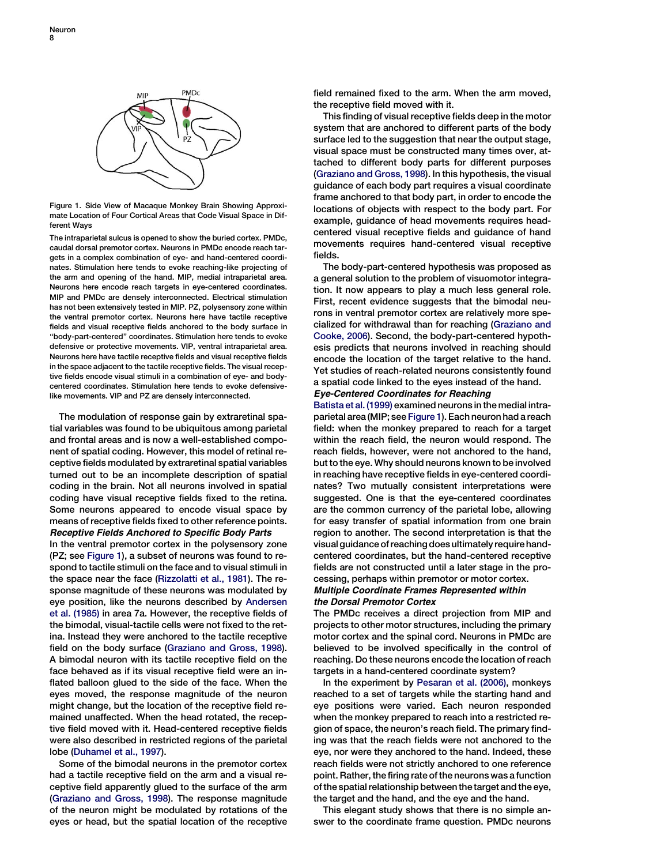<span id="page-1-0"></span>

Figure 1. Side View of Macaque Monkey Brain Showing Approximate Location of Four Cortical Areas that Code Visual Space in Different Ways

The intraparietal sulcus is opened to show the buried cortex. PMDc, caudal dorsal premotor cortex. Neurons in PMDc encode reach targets in a complex combination of eye- and hand-centered coordinates. Stimulation here tends to evoke reaching-like projecting of the arm and opening of the hand. MIP, medial intraparietal area. Neurons here encode reach targets in eye-centered coordinates. MIP and PMDc are densely interconnected. Electrical stimulation has not been extensively tested in MIP. PZ, polysensory zone within the ventral premotor cortex. Neurons here have tactile receptive fields and visual receptive fields anchored to the body surface in ''body-part-centered'' coordinates. Stimulation here tends to evoke defensive or protective movements. VIP, ventral intraparietal area. Neurons here have tactile receptive fields and visual receptive fields in the space adjacent to the tactile receptive fields. The visual receptive fields encode visual stimuli in a combination of eye- and bodycentered coordinates. Stimulation here tends to evoke defensivelike movements. VIP and PZ are densely interconnected.

The modulation of response gain by extraretinal spatial variables was found to be ubiquitous among parietal and frontal areas and is now a well-established component of spatial coding. However, this model of retinal receptive fields modulated by extraretinal spatial variables turned out to be an incomplete description of spatial coding in the brain. Not all neurons involved in spatial coding have visual receptive fields fixed to the retina. Some neurons appeared to encode visual space by means of receptive fields fixed to other reference points. Receptive Fields Anchored to Specific Body Parts

In the ventral premotor cortex in the polysensory zone (PZ; see Figure 1), a subset of neurons was found to respond to tactile stimuli on the face and to visual stimuli in the space near the face ([Rizzolatti et al., 1981\)](#page-2-0). The response magnitude of these neurons was modulated by eye position, like the neurons described by [Andersen](#page-2-0) et al. (1985) in area 7a. However, the receptive fields of the bimodal, visual-tactile cells were not fixed to the retina. Instead they were anchored to the tactile receptive field on the body surface [\(Graziano and Gross, 1998](#page-2-0)). A bimodal neuron with its tactile receptive field on the face behaved as if its visual receptive field were an inflated balloon glued to the side of the face. When the eyes moved, the response magnitude of the neuron might change, but the location of the receptive field remained unaffected. When the head rotated, the receptive field moved with it. Head-centered receptive fields were also described in restricted regions of the parietal lobe ([Duhamel et al., 1997](#page-2-0)).

Some of the bimodal neurons in the premotor cortex had a tactile receptive field on the arm and a visual receptive field apparently glued to the surface of the arm [\(Graziano and Gross, 1998](#page-2-0)). The response magnitude of the neuron might be modulated by rotations of the eyes or head, but the spatial location of the receptive

field remained fixed to the arm. When the arm moved, the receptive field moved with it.

This finding of visual receptive fields deep in the motor system that are anchored to different parts of the body surface led to the suggestion that near the output stage, visual space must be constructed many times over, attached to different body parts for different purposes [\(Graziano and Gross, 1998](#page-2-0)). In this hypothesis, the visual guidance of each body part requires a visual coordinate frame anchored to that body part, in order to encode the locations of objects with respect to the body part. For example, guidance of head movements requires headcentered visual receptive fields and guidance of hand movements requires hand-centered visual receptive fields.

The body-part-centered hypothesis was proposed as a general solution to the problem of visuomotor integration. It now appears to play a much less general role. First, recent evidence suggests that the bimodal neurons in ventral premotor cortex are relatively more specialized for withdrawal than for reaching ([Graziano and](#page-2-0) [Cooke, 2006](#page-2-0)). Second, the body-part-centered hypothesis predicts that neurons involved in reaching should encode the location of the target relative to the hand. Yet studies of reach-related neurons consistently found a spatial code linked to the eyes instead of the hand.

#### Eye-Centered Coordinates for Reaching

[Batista et al. \(1999\)](#page-2-0) examined neurons in the medial intraparietal area (MIP; see Figure 1). Each neuron had a reach field: when the monkey prepared to reach for a target within the reach field, the neuron would respond. The reach fields, however, were not anchored to the hand, but to the eye. Why should neurons known to be involved in reaching have receptive fields in eye-centered coordinates? Two mutually consistent interpretations were suggested. One is that the eye-centered coordinates are the common currency of the parietal lobe, allowing for easy transfer of spatial information from one brain region to another. The second interpretation is that the visual guidance of reaching does ultimately requirehandcentered coordinates, but the hand-centered receptive fields are not constructed until a later stage in the processing, perhaps within premotor or motor cortex. Multiple Coordinate Frames Represented within the Dorsal Premotor Cortex

The PMDc receives a direct projection from MIP and projects to other motor structures, including the primary motor cortex and the spinal cord. Neurons in PMDc are believed to be involved specifically in the control of reaching. Do these neurons encode the location of reach targets in a hand-centered coordinate system?

In the experiment by [Pesaran et al. \(2006\),](#page-2-0) monkeys reached to a set of targets while the starting hand and eye positions were varied. Each neuron responded when the monkey prepared to reach into a restricted region of space, the neuron's reach field. The primary finding was that the reach fields were not anchored to the eye, nor were they anchored to the hand. Indeed, these reach fields were not strictly anchored to one reference point. Rather, the firing rate of the neurons was a function of the spatial relationship between the target and the eye, the target and the hand, and the eye and the hand.

This elegant study shows that there is no simple answer to the coordinate frame question. PMDc neurons